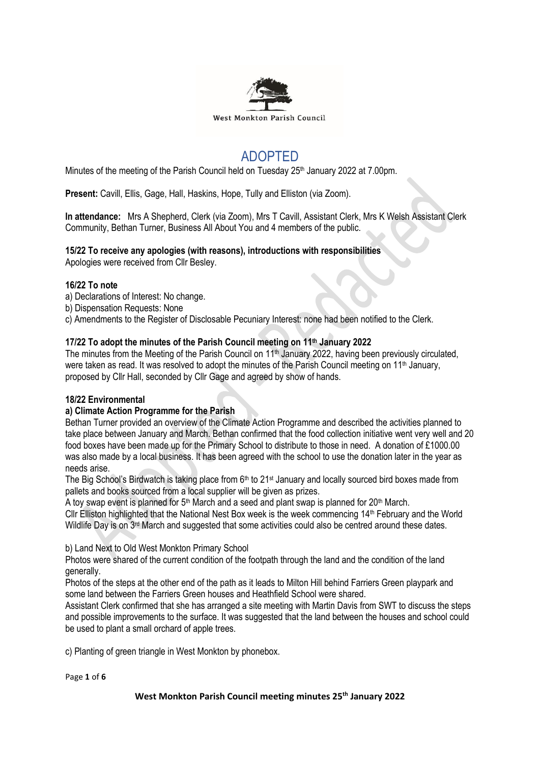

# ADOPTED

Minutes of the meeting of the Parish Council held on Tuesday 25<sup>th</sup> January 2022 at 7.00pm.

**Present:** Cavill, Ellis, Gage, Hall, Haskins, Hope, Tully and Elliston (via Zoom).

**In attendance:** Mrs A Shepherd, Clerk (via Zoom), Mrs T Cavill, Assistant Clerk, Mrs K Welsh Assistant Clerk Community, Bethan Turner, Business All About You and 4 members of the public.

# **15/22 To receive any apologies (with reasons), introductions with responsibilities**

Apologies were received from Cllr Besley.

# **16/22 To note**

- a) Declarations of Interest: No change.
- b) Dispensation Requests: None
- c) Amendments to the Register of Disclosable Pecuniary Interest: none had been notified to the Clerk.

# **17/22 To adopt the minutes of the Parish Council meeting on 11th January 2022**

The minutes from the Meeting of the Parish Council on 11<sup>th</sup> January 2022, having been previously circulated, were taken as read. It was resolved to adopt the minutes of the Parish Council meeting on 11<sup>th</sup> January, proposed by Cllr Hall, seconded by Cllr Gage and agreed by show of hands.

# **18/22 Environmental**

# **a) Climate Action Programme for the Parish**

Bethan Turner provided an overview of the Climate Action Programme and described the activities planned to take place between January and March. Bethan confirmed that the food collection initiative went very well and 20 food boxes have been made up for the Primary School to distribute to those in need. A donation of £1000.00 was also made by a local business. It has been agreed with the school to use the donation later in the year as needs arise.

The Big School's Birdwatch is taking place from  $6<sup>th</sup>$  to 21<sup>st</sup> January and locally sourced bird boxes made from pallets and books sourced from a local supplier will be given as prizes.

A toy swap event is planned for 5<sup>th</sup> March and a seed and plant swap is planned for 20<sup>th</sup> March. Cllr Elliston highlighted that the National Nest Box week is the week commencing 14th February and the World

Wildlife Day is on 3<sup>rd</sup> March and suggested that some activities could also be centred around these dates.

b) Land Next to Old West Monkton Primary School

Photos were shared of the current condition of the footpath through the land and the condition of the land generally.

Photos of the steps at the other end of the path as it leads to Milton Hill behind Farriers Green playpark and some land between the Farriers Green houses and Heathfield School were shared.

Assistant Clerk confirmed that she has arranged a site meeting with Martin Davis from SWT to discuss the steps and possible improvements to the surface. It was suggested that the land between the houses and school could be used to plant a small orchard of apple trees.

c) Planting of green triangle in West Monkton by phonebox.

Page **1** of **6**

#### **West Monkton Parish Council meeting minutes 25th January 2022**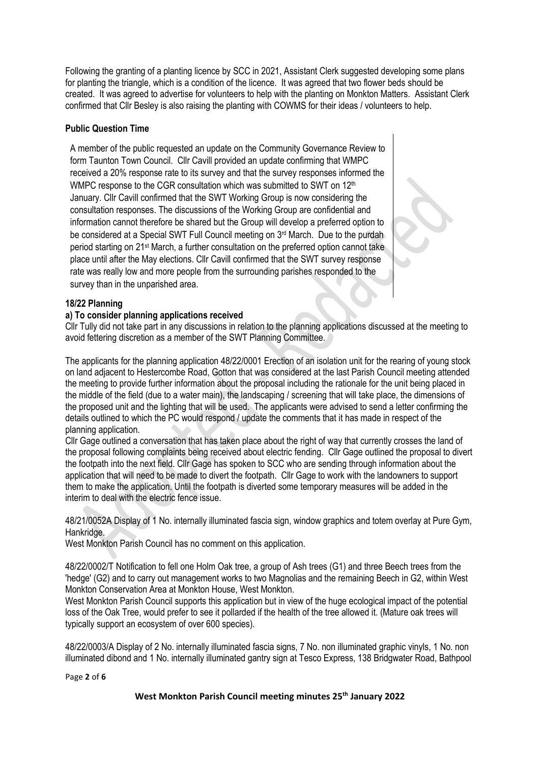Following the granting of a planting licence by SCC in 2021, Assistant Clerk suggested developing some plans for planting the triangle, which is a condition of the licence. It was agreed that two flower beds should be created. It was agreed to advertise for volunteers to help with the planting on Monkton Matters. Assistant Clerk confirmed that Cllr Besley is also raising the planting with COWMS for their ideas / volunteers to help.

# **Public Question Time**

A member of the public requested an update on the Community Governance Review to form Taunton Town Council. Cllr Cavill provided an update confirming that WMPC received a 20% response rate to its survey and that the survey responses informed the WMPC response to the CGR consultation which was submitted to SWT on 12<sup>th</sup> January. Cllr Cavill confirmed that the SWT Working Group is now considering the consultation responses. The discussions of the Working Group are confidential and information cannot therefore be shared but the Group will develop a preferred option to be considered at a Special SWT Full Council meeting on 3<sup>rd</sup> March. Due to the purdah period starting on 21<sup>st</sup> March, a further consultation on the preferred option cannot take place until after the May elections. Cllr Cavill confirmed that the SWT survey response rate was really low and more people from the surrounding parishes responded to the survey than in the unparished area.

# **18/22 Planning**

#### **a) To consider planning applications received**

Cllr Tully did not take part in any discussions in relation to the planning applications discussed at the meeting to avoid fettering discretion as a member of the SWT Planning Committee.

The applicants for the planning application 48/22/0001 Erection of an isolation unit for the rearing of young stock on land adjacent to Hestercombe Road, Gotton that was considered at the last Parish Council meeting attended the meeting to provide further information about the proposal including the rationale for the unit being placed in the middle of the field (due to a water main), the landscaping / screening that will take place, the dimensions of the proposed unit and the lighting that will be used. The applicants were advised to send a letter confirming the details outlined to which the PC would respond / update the comments that it has made in respect of the planning application.

Cllr Gage outlined a conversation that has taken place about the right of way that currently crosses the land of the proposal following complaints being received about electric fending. Cllr Gage outlined the proposal to divert the footpath into the next field. Cllr Gage has spoken to SCC who are sending through information about the application that will need to be made to divert the footpath. Cllr Gage to work with the landowners to support them to make the application. Until the footpath is diverted some temporary measures will be added in the interim to deal with the electric fence issue.

48/21/0052A Display of 1 No. internally illuminated fascia sign, window graphics and totem overlay at Pure Gym, Hankridge.

West Monkton Parish Council has no comment on this application.

48/22/0002/T Notification to fell one Holm Oak tree, a group of Ash trees (G1) and three Beech trees from the 'hedge' (G2) and to carry out management works to two Magnolias and the remaining Beech in G2, within West Monkton Conservation Area at Monkton House, West Monkton.

West Monkton Parish Council supports this application but in view of the huge ecological impact of the potential loss of the Oak Tree, would prefer to see it pollarded if the health of the tree allowed it. (Mature oak trees will typically support an ecosystem of over 600 species).

48/22/0003/A Display of 2 No. internally illuminated fascia signs, 7 No. non illuminated graphic vinyls, 1 No. non illuminated dibond and 1 No. internally illuminated gantry sign at Tesco Express, 138 Bridgwater Road, Bathpool

Page **2** of **6**

#### **West Monkton Parish Council meeting minutes 25th January 2022**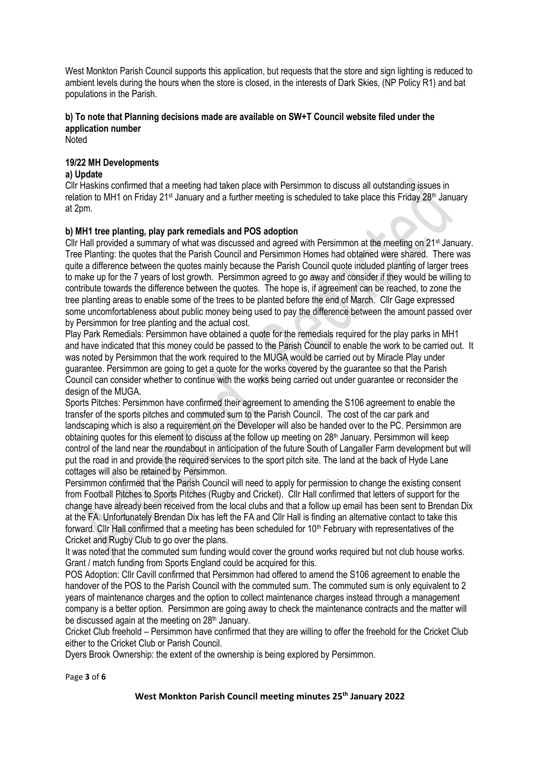West Monkton Parish Council supports this application, but requests that the store and sign lighting is reduced to ambient levels during the hours when the store is closed, in the interests of Dark Skies, (NP Policy R1) and bat populations in the Parish.

# **b) To note that Planning decisions made are available on SW+T Council website filed under the application number**

Noted

# **19/22 MH Developments**

# **a) Update**

Cllr Haskins confirmed that a meeting had taken place with Persimmon to discuss all outstanding issues in relation to MH1 on Friday 21<sup>st</sup> January and a further meeting is scheduled to take place this Friday 28<sup>th</sup> January at 2pm.

# **b) MH1 tree planting, play park remedials and POS adoption**

Cllr Hall provided a summary of what was discussed and agreed with Persimmon at the meeting on 21st January. Tree Planting: the quotes that the Parish Council and Persimmon Homes had obtained were shared. There was quite a difference between the quotes mainly because the Parish Council quote included planting of larger trees to make up for the 7 years of lost growth. Persimmon agreed to go away and consider if they would be willing to contribute towards the difference between the quotes. The hope is, if agreement can be reached, to zone the tree planting areas to enable some of the trees to be planted before the end of March. Cllr Gage expressed some uncomfortableness about public money being used to pay the difference between the amount passed over by Persimmon for tree planting and the actual cost.

Play Park Remedials: Persimmon have obtained a quote for the remedials required for the play parks in MH1 and have indicated that this money could be passed to the Parish Council to enable the work to be carried out. It was noted by Persimmon that the work required to the MUGA would be carried out by Miracle Play under guarantee. Persimmon are going to get a quote for the works covered by the guarantee so that the Parish Council can consider whether to continue with the works being carried out under guarantee or reconsider the design of the MUGA.

Sports Pitches: Persimmon have confirmed their agreement to amending the S106 agreement to enable the transfer of the sports pitches and commuted sum to the Parish Council. The cost of the car park and landscaping which is also a requirement on the Developer will also be handed over to the PC. Persimmon are obtaining quotes for this element to discuss at the follow up meeting on 28<sup>th</sup> January. Persimmon will keep control of the land near the roundabout in anticipation of the future South of Langaller Farm development but will put the road in and provide the required services to the sport pitch site. The land at the back of Hyde Lane cottages will also be retained by Persimmon.

Persimmon confirmed that the Parish Council will need to apply for permission to change the existing consent from Football Pitches to Sports Pitches (Rugby and Cricket). Cllr Hall confirmed that letters of support for the change have already been received from the local clubs and that a follow up email has been sent to Brendan Dix at the FA. Unfortunately Brendan Dix has left the FA and Cllr Hall is finding an alternative contact to take this forward. Cllr Hall confirmed that a meeting has been scheduled for 10<sup>th</sup> February with representatives of the Cricket and Rugby Club to go over the plans.

It was noted that the commuted sum funding would cover the ground works required but not club house works. Grant / match funding from Sports England could be acquired for this.

POS Adoption: Cllr Cavill confirmed that Persimmon had offered to amend the S106 agreement to enable the handover of the POS to the Parish Council with the commuted sum. The commuted sum is only equivalent to 2 years of maintenance charges and the option to collect maintenance charges instead through a management company is a better option. Persimmon are going away to check the maintenance contracts and the matter will be discussed again at the meeting on 28<sup>th</sup> January.

Cricket Club freehold – Persimmon have confirmed that they are willing to offer the freehold for the Cricket Club either to the Cricket Club or Parish Council.

Dyers Brook Ownership: the extent of the ownership is being explored by Persimmon.

Page **3** of **6**

#### **West Monkton Parish Council meeting minutes 25th January 2022**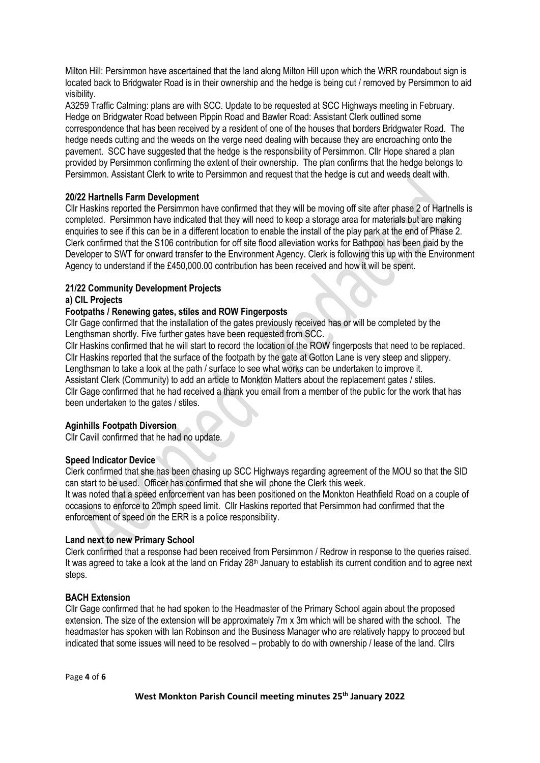Milton Hill: Persimmon have ascertained that the land along Milton Hill upon which the WRR roundabout sign is located back to Bridgwater Road is in their ownership and the hedge is being cut / removed by Persimmon to aid visibility.

A3259 Traffic Calming: plans are with SCC. Update to be requested at SCC Highways meeting in February. Hedge on Bridgwater Road between Pippin Road and Bawler Road: Assistant Clerk outlined some correspondence that has been received by a resident of one of the houses that borders Bridgwater Road. The hedge needs cutting and the weeds on the verge need dealing with because they are encroaching onto the pavement. SCC have suggested that the hedge is the responsibility of Persimmon. Cllr Hope shared a plan provided by Persimmon confirming the extent of their ownership. The plan confirms that the hedge belongs to Persimmon. Assistant Clerk to write to Persimmon and request that the hedge is cut and weeds dealt with.

# **20/22 Hartnells Farm Development**

Cllr Haskins reported the Persimmon have confirmed that they will be moving off site after phase 2 of Hartnells is completed. Persimmon have indicated that they will need to keep a storage area for materials but are making enquiries to see if this can be in a different location to enable the install of the play park at the end of Phase 2. Clerk confirmed that the S106 contribution for off site flood alleviation works for Bathpool has been paid by the Developer to SWT for onward transfer to the Environment Agency. Clerk is following this up with the Environment Agency to understand if the £450,000.00 contribution has been received and how it will be spent.

# **21/22 Community Development Projects**

#### **a) CIL Projects**

# **Footpaths / Renewing gates, stiles and ROW Fingerposts**

Cllr Gage confirmed that the installation of the gates previously received has or will be completed by the Lengthsman shortly. Five further gates have been requested from SCC.

Cllr Haskins confirmed that he will start to record the location of the ROW fingerposts that need to be replaced. Cllr Haskins reported that the surface of the footpath by the gate at Gotton Lane is very steep and slippery. Lengthsman to take a look at the path / surface to see what works can be undertaken to improve it. Assistant Clerk (Community) to add an article to Monkton Matters about the replacement gates / stiles. Cllr Gage confirmed that he had received a thank you email from a member of the public for the work that has been undertaken to the gates / stiles.

#### **Aginhills Footpath Diversion**

Cllr Cavill confirmed that he had no update.

#### **Speed Indicator Device**

Clerk confirmed that she has been chasing up SCC Highways regarding agreement of the MOU so that the SID can start to be used. Officer has confirmed that she will phone the Clerk this week.

It was noted that a speed enforcement van has been positioned on the Monkton Heathfield Road on a couple of occasions to enforce to 20mph speed limit. Cllr Haskins reported that Persimmon had confirmed that the enforcement of speed on the ERR is a police responsibility.

#### **Land next to new Primary School**

Clerk confirmed that a response had been received from Persimmon / Redrow in response to the queries raised. It was agreed to take a look at the land on Friday 28<sup>th</sup> January to establish its current condition and to agree next steps.

#### **BACH Extension**

Cllr Gage confirmed that he had spoken to the Headmaster of the Primary School again about the proposed extension. The size of the extension will be approximately 7m x 3m which will be shared with the school. The headmaster has spoken with Ian Robinson and the Business Manager who are relatively happy to proceed but indicated that some issues will need to be resolved – probably to do with ownership / lease of the land. Cllrs

Page **4** of **6**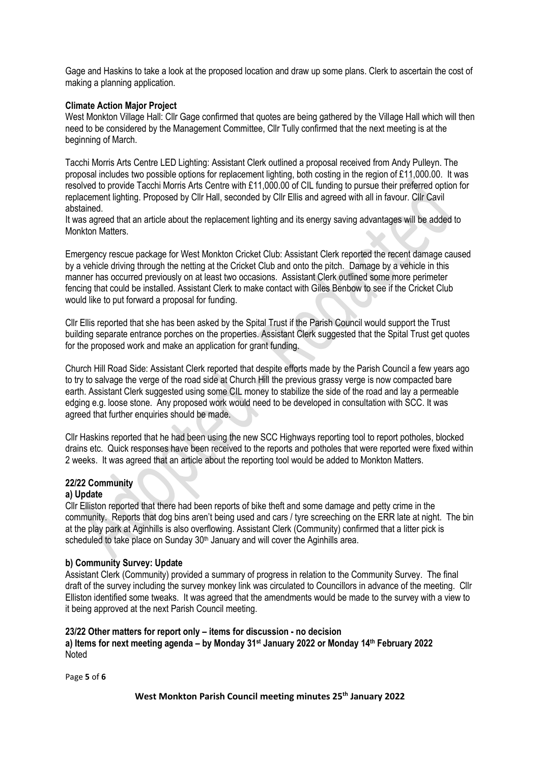Gage and Haskins to take a look at the proposed location and draw up some plans. Clerk to ascertain the cost of making a planning application.

# **Climate Action Major Project**

West Monkton Village Hall: Cllr Gage confirmed that quotes are being gathered by the Village Hall which will then need to be considered by the Management Committee, Cllr Tully confirmed that the next meeting is at the beginning of March.

Tacchi Morris Arts Centre LED Lighting: Assistant Clerk outlined a proposal received from Andy Pulleyn. The proposal includes two possible options for replacement lighting, both costing in the region of £11,000.00. It was resolved to provide Tacchi Morris Arts Centre with £11,000.00 of CIL funding to pursue their preferred option for replacement lighting. Proposed by Cllr Hall, seconded by Cllr Ellis and agreed with all in favour. Cllr Cavil abstained.

It was agreed that an article about the replacement lighting and its energy saving advantages will be added to Monkton Matters.

Emergency rescue package for West Monkton Cricket Club: Assistant Clerk reported the recent damage caused by a vehicle driving through the netting at the Cricket Club and onto the pitch. Damage by a vehicle in this manner has occurred previously on at least two occasions. Assistant Clerk outlined some more perimeter fencing that could be installed. Assistant Clerk to make contact with Giles Benbow to see if the Cricket Club would like to put forward a proposal for funding.

Cllr Ellis reported that she has been asked by the Spital Trust if the Parish Council would support the Trust building separate entrance porches on the properties. Assistant Clerk suggested that the Spital Trust get quotes for the proposed work and make an application for grant funding.

Church Hill Road Side: Assistant Clerk reported that despite efforts made by the Parish Council a few years ago to try to salvage the verge of the road side at Church Hill the previous grassy verge is now compacted bare earth. Assistant Clerk suggested using some CIL money to stabilize the side of the road and lay a permeable edging e.g. loose stone. Any proposed work would need to be developed in consultation with SCC. It was agreed that further enquiries should be made.

Cllr Haskins reported that he had been using the new SCC Highways reporting tool to report potholes, blocked drains etc. Quick responses have been received to the reports and potholes that were reported were fixed within 2 weeks. It was agreed that an article about the reporting tool would be added to Monkton Matters.

# **22/22 Community**

#### **a) Update**

Cllr Elliston reported that there had been reports of bike theft and some damage and petty crime in the community. Reports that dog bins aren't being used and cars / tyre screeching on the ERR late at night. The bin at the play park at Aginhills is also overflowing. Assistant Clerk (Community) confirmed that a litter pick is scheduled to take place on Sunday 30<sup>th</sup> January and will cover the Aginhills area.

#### **b) Community Survey: Update**

Assistant Clerk (Community) provided a summary of progress in relation to the Community Survey. The final draft of the survey including the survey monkey link was circulated to Councillors in advance of the meeting. Cllr Elliston identified some tweaks. It was agreed that the amendments would be made to the survey with a view to it being approved at the next Parish Council meeting.

#### **23/22 Other matters for report only – items for discussion - no decision**

**a) Items for next meeting agenda – by Monday 31st January 2022 or Monday 14th February 2022 Noted** 

Page **5** of **6**